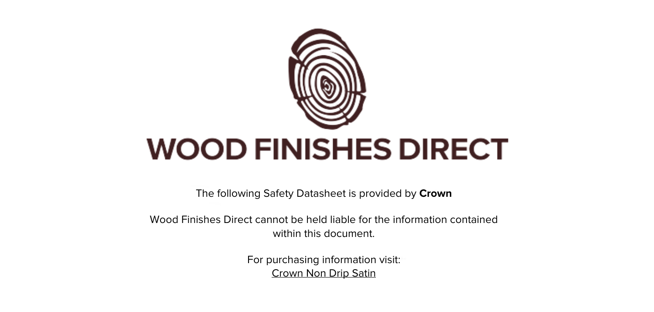

The following Safety Datasheet is provided by **Crown**

Wood Finishes Direct cannot be held liable for the information contained within this document

> For purchasing information visit: [Crown Non Drip Satin](https://www.wood-finishes-direct.com/product/crown-non-drip-satin)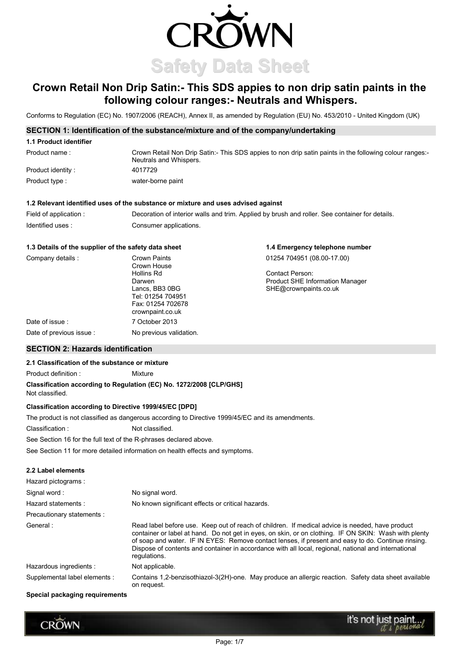

# Crown Retail Non Drip Satin:- This SDS appies to non drip satin paints in the following colour ranges: - Neutrals and Whispers.

Conforms to Regulation (EC) No. 1907/2006 (REACH), Annex II, as amended by Regulation (EU) No. 453/2010 - United Kingdom (UK)

# SECTION 1: Identification of the substance/mixture and of the company/undertaking

# 1.1 Product identifier

| Product name:     | Crown Retail Non Drip Satin:- This SDS appies to non drip satin paints in the following colour ranges:-<br>Neutrals and Whispers. |
|-------------------|-----------------------------------------------------------------------------------------------------------------------------------|
| Product identity: | 4017729                                                                                                                           |
| Product type :    | water-borne paint                                                                                                                 |

1.4 Emergency telephone number

### 1.2 Relevant identified uses of the substance or mixture and uses advised against

| Field of application: | Decoration of interior walls and trim. Applied by brush and roller. See container for details. |
|-----------------------|------------------------------------------------------------------------------------------------|
| Identified uses:      | Consumer applications.                                                                         |

### 1.3 Details of the supplier of the safety data sheet

| Crown Paints            | 01254 704951 (08.00-17.00)             |
|-------------------------|----------------------------------------|
| Crown House             |                                        |
| Hollins Rd              | Contact Person:                        |
| Darwen                  | <b>Product SHE Information Manager</b> |
| Lancs. BB3 0BG          | SHE@crownpaints.co.uk                  |
| Tel: 01254 704951       |                                        |
| Fax: 01254 702678       |                                        |
| crownpaint.co.uk        |                                        |
| 7 October 2013          |                                        |
| No previous validation. |                                        |
|                         |                                        |

# **SECTION 2: Hazards identification**

# 2.1 Classification of the substance or mixture

Product definition: Mixture Classification according to Regulation (EC) No. 1272/2008 [CLP/GHS] Not classified.

### **Classification according to Directive 1999/45/EC [DPD]**

The product is not classified as dangerous according to Directive 1999/45/EC and its amendments.

Classification: Not classified.

See Section 16 for the full text of the R-phrases declared above.

See Section 11 for more detailed information on health effects and symptoms.

### 2.2 Label elements

| Hazard pictograms:            |                                                                                                                                                                                                                                                                                                                                                                                                                                        |  |
|-------------------------------|----------------------------------------------------------------------------------------------------------------------------------------------------------------------------------------------------------------------------------------------------------------------------------------------------------------------------------------------------------------------------------------------------------------------------------------|--|
| Signal word:                  | No signal word.                                                                                                                                                                                                                                                                                                                                                                                                                        |  |
| Hazard statements:            | No known significant effects or critical hazards.                                                                                                                                                                                                                                                                                                                                                                                      |  |
| Precautionary statements :    |                                                                                                                                                                                                                                                                                                                                                                                                                                        |  |
| General:                      | Read label before use. Keep out of reach of children. If medical advice is needed, have product<br>container or label at hand. Do not get in eyes, on skin, or on clothing. IF ON SKIN: Wash with plenty<br>of soap and water. IF IN EYES: Remove contact lenses, if present and easy to do. Continue rinsing.<br>Dispose of contents and container in accordance with all local, regional, national and international<br>regulations. |  |
| Hazardous ingredients :       | Not applicable.                                                                                                                                                                                                                                                                                                                                                                                                                        |  |
| Supplemental label elements : | Contains 1,2-benzisothiazol-3(2H)-one. May produce an allergic reaction. Safety data sheet available<br>on request.                                                                                                                                                                                                                                                                                                                    |  |

#### Special packaging requirements

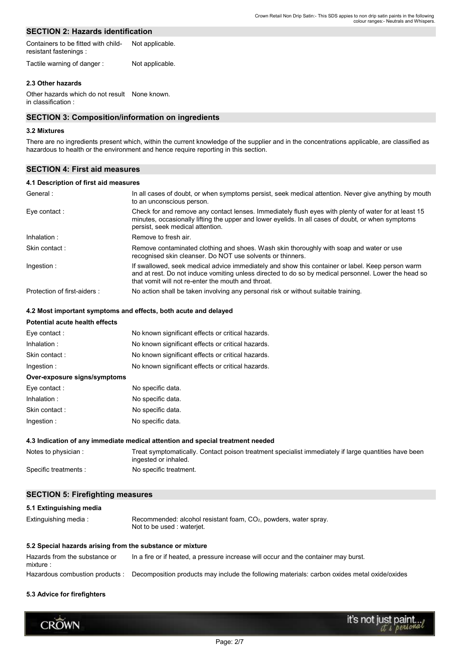# **SECTION 2: Hazards identification**

| Containers to be fitted with child- | Not applicable. |
|-------------------------------------|-----------------|
| resistant fastenings :              |                 |

Tactile warning of danger: Not applicable.

### 2.3 Other hazards

Other hazards which do not result None known. in classification :

### **SECTION 3: Composition/information on ingredients**

### 3.2 Mixtures

There are no ingredients present which, within the current knowledge of the supplier and in the concentrations applicable, are classified as hazardous to health or the environment and hence require reporting in this section.

# **SECTION 4: First aid measures**

### 4.1 Description of first aid measures

| General:                     | In all cases of doubt, or when symptoms persist, seek medical attention. Never give anything by mouth<br>to an unconscious person.                                                                                                                             |
|------------------------------|----------------------------------------------------------------------------------------------------------------------------------------------------------------------------------------------------------------------------------------------------------------|
| Eye contact:                 | Check for and remove any contact lenses. Immediately flush eyes with plenty of water for at least 15<br>minutes, occasionally lifting the upper and lower eyelids. In all cases of doubt, or when symptoms<br>persist, seek medical attention.                 |
| Inhalation:                  | Remove to fresh air.                                                                                                                                                                                                                                           |
| Skin contact:                | Remove contaminated clothing and shoes. Wash skin thoroughly with soap and water or use<br>recognised skin cleanser. Do NOT use solvents or thinners.                                                                                                          |
| Ingestion:                   | If swallowed, seek medical advice immediately and show this container or label. Keep person warm<br>and at rest. Do not induce vomiting unless directed to do so by medical personnel. Lower the head so<br>that vomit will not re-enter the mouth and throat. |
| Protection of first-aiders : | No action shall be taken involving any personal risk or without suitable training.                                                                                                                                                                             |

### 4.2 Most important symptoms and effects, both acute and delayed

# Potential acute health effects

| Eye contact:                 | No known significant effects or critical hazards. |
|------------------------------|---------------------------------------------------|
| Inhalation:                  | No known significant effects or critical hazards. |
| Skin contact:                | No known significant effects or critical hazards. |
| Ingestion:                   | No known significant effects or critical hazards. |
| Over-exposure signs/symptoms |                                                   |
| Eye contact :                | No specific data.                                 |
| Inhalation:                  | No specific data.                                 |
| Skin contact:                | No specific data.                                 |
| Ingestion:                   | No specific data.                                 |

### 4.3 Indication of any immediate medical attention and special treatment needed

| Notes to physician:  | Treat symptomatically. Contact poison treatment specialist immediately if large quantities have been<br>ingested or inhaled. |
|----------------------|------------------------------------------------------------------------------------------------------------------------------|
| Specific treatments: | No specific treatment.                                                                                                       |

### **SECTION 5: Firefighting measures**

# 5.1 Extinguishing media Recommended: alcohol resistant foam, CO<sub>2</sub>, powders, water spray. Extinguishing media: Not to be used : waterjet. 5.2 Special hazards arising from the substance or mixture Hazards from the substance or In a fire or if heated, a pressure increase will occur and the container may burst. mixture:

Hazardous combustion products : Decomposition products may include the following materials: carbon oxides metal oxide/oxides

#### 5.3 Advice for firefighters

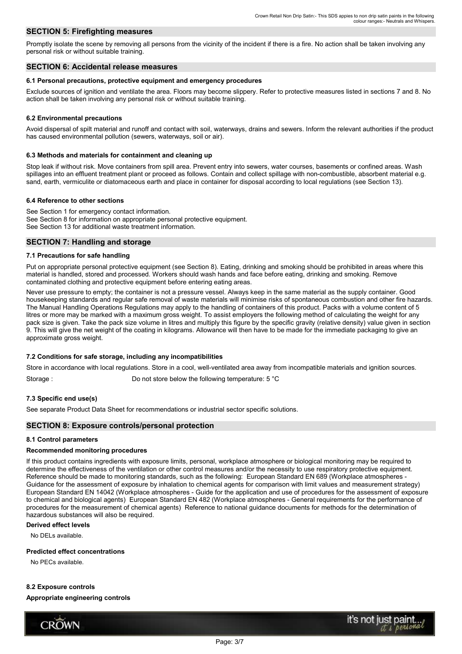# **SECTION 5: Firefighting measures**

Promptly isolate the scene by removing all persons from the vicinity of the incident if there is a fire. No action shall be taken involving any personal risk or without suitable training

### **SECTION 6: Accidental release measures**

### 6.1 Personal precautions, protective equipment and emergency procedures

Exclude sources of ignition and ventilate the area. Floors may become slippery. Refer to protective measures listed in sections 7 and 8. No action shall be taken involving any personal risk or without suitable training.

### **6.2 Environmental precautions**

Avoid dispersal of spilt material and runoff and contact with soil, waterways, drains and sewers. Inform the relevant authorities if the product has caused environmental pollution (sewers, waterways, soil or air).

#### 6.3 Methods and materials for containment and cleaning up

Stop leak if without risk. Move containers from spill area. Prevent entry into sewers, water courses, basements or confined areas. Wash spillages into an effluent treatment plant or proceed as follows. Contain and collect spillage with non-combustible, absorbent material e.g. sand, earth, vermiculite or diatomaceous earth and place in container for disposal according to local regulations (see Section 13).

### 6.4 Reference to other sections

See Section 1 for emergency contact information. See Section 8 for information on appropriate personal protective equipment. See Section 13 for additional waste treatment information.

# **SECTION 7: Handling and storage**

### 7.1 Precautions for safe handling

Put on appropriate personal protective equipment (see Section 8). Eating, drinking and smoking should be prohibited in areas where this material is handled, stored and processed. Workers should wash hands and face before eating, drinking and smoking. Remove contaminated clothing and protective equipment before entering eating areas.

Never use pressure to empty; the container is not a pressure vessel. Always keep in the same material as the supply container. Good housekeeping standards and regular safe removal of waste materials will minimise risks of spontaneous combustion and other fire hazards. The Manual Handling Operations Regulations may apply to the handling of containers of this product. Packs with a volume content of 5 litres or more may be marked with a maximum gross weight. To assist employers the following method of calculating the weight for any pack size is given. Take the pack size volume in litres and multiply this figure by the specific gravity (relative density) value given in section 9. This will give the net weight of the coating in kilograms. Allowance will then have to be made for the immediate packaging to give an approximate gross weight.

### 7.2 Conditions for safe storage, including any incompatibilities

Store in accordance with local regulations. Store in a cool, well-ventilated area away from incompatible materials and ignition sources.

Storage: Do not store below the following temperature: 5 °C

### 7.3 Specific end use(s)

See separate Product Data Sheet for recommendations or industrial sector specific solutions.

### **SECTION 8: Exposure controls/personal protection**

#### 8.1 Control parameters

### **Recommended monitoring procedures**

If this product contains ingredients with exposure limits, personal, workplace atmosphere or biological monitoring may be required to determine the effectiveness of the ventilation or other control measures and/or the necessity to use respiratory protective equipment. Reference should be made to monitoring standards, such as the following: European Standard EN 689 (Workplace atmospheres -Guidance for the assessment of exposure by inhalation to chemical agents for comparison with limit values and measurement strategy) European Standard EN 14042 (Workplace atmospheres - Guide for the application and use of procedures for the assessment of exposure to chemical and biological agents) European Standard EN 482 (Workplace atmospheres - General requirements for the performance of procedures for the measurement of chemical agents) Reference to national guidance documents for methods for the determination of hazardous substances will also be required.

#### **Derived effect levels**

No DELs available.

### **Predicted effect concentrations**

No PECs available.

### 8.2 Exposure controls Appropriate engineering controls

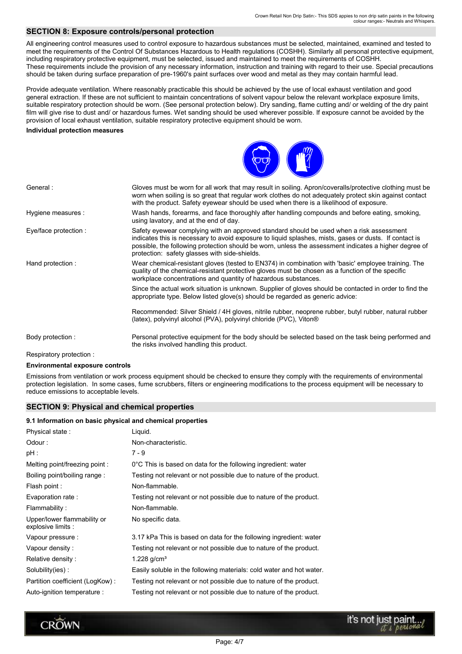# **SECTION 8: Exposure controls/personal protection**

All engineering control measures used to control exposure to hazardous substances must be selected, maintained, examined and tested to meet the requirements of the Control Of Substances Hazardous to Health requlations (COSHH). Similarly all personal protective equipment, including respiratory protective equipment, must be selected, issued and maintained to meet the requirements of COSHH. These requirements include the provision of any necessary information, instruction and training with regard to their use. Special precautions should be taken during surface preparation of pre-1960's paint surfaces over wood and metal as they may contain harmful lead.

Provide adequate ventilation. Where reasonably practicable this should be achieved by the use of local exhaust ventilation and good general extraction. If these are not sufficient to maintain concentrations of solvent vapour below the relevant workplace exposure limits, suitable respiratory protection should be worn. (See personal protection below). Dry sanding, flame cutting and/ or welding of the dry paint film will give rise to dust and/ or hazardous fumes. Wet sanding should be used wherever possible. If exposure cannot be avoided by the provision of local exhaust ventilation, suitable respiratory protective equipment should be worn.

#### **Individual protection measures**



Respiratory protection:

**CROWN** 

#### **Environmental exposure controls**

Emissions from ventilation or work process equipment should be checked to ensure they comply with the requirements of environmental protection legislation. In some cases, fume scrubbers, filters or engineering modifications to the process equipment will be necessary to reduce emissions to acceptable levels.

### **SECTION 9: Physical and chemical properties**

#### 9.1 Information on basic physical and chemical properties

| Physical state:                                   | Liquid.                                                              |
|---------------------------------------------------|----------------------------------------------------------------------|
| Odour:                                            | Non-characteristic.                                                  |
| $pH$ :                                            | $7 - 9$                                                              |
| Melting point/freezing point:                     | 0°C This is based on data for the following ingredient: water        |
| Boiling point/boiling range:                      | Testing not relevant or not possible due to nature of the product.   |
| Flash point :                                     | Non-flammable.                                                       |
| Evaporation rate:                                 | Testing not relevant or not possible due to nature of the product.   |
| Flammability:                                     | Non-flammable.                                                       |
| Upper/lower flammability or<br>explosive limits : | No specific data.                                                    |
| Vapour pressure :                                 | 3.17 kPa This is based on data for the following ingredient: water   |
| Vapour density:                                   | Testing not relevant or not possible due to nature of the product.   |
| Relative density:                                 | 1.228 $g/cm^{3}$                                                     |
| Solubility(ies):                                  | Easily soluble in the following materials: cold water and hot water. |
| Partition coefficient (LogKow):                   | Testing not relevant or not possible due to nature of the product.   |
| Auto-ignition temperature :                       | Testing not relevant or not possible due to nature of the product.   |

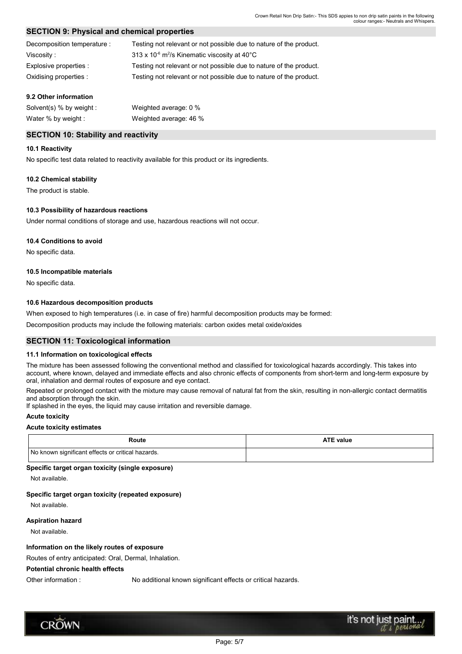# **SECTION 9: Physical and chemical properties**

| Decomposition temperature : | Testing not relevant or not possible due to nature of the product.                 |
|-----------------------------|------------------------------------------------------------------------------------|
| Viscosity:                  | 313 x 10 $\textdegree$ m <sup>2</sup> /s Kinematic viscosity at 40 $\textdegree$ C |
| Explosive properties :      | Testing not relevant or not possible due to nature of the product.                 |
| Oxidising properties :      | Testing not relevant or not possible due to nature of the product.                 |

### 9.2 Other information

| Solvent(s) $%$ by weight : | Weighted average: 0 %  |
|----------------------------|------------------------|
| Water % by weight :        | Weighted average: 46 % |

# **SECTION 10: Stability and reactivity**

### 10.1 Reactivity

No specific test data related to reactivity available for this product or its ingredients.

### 10.2 Chemical stability

The product is stable.

# 10.3 Possibility of hazardous reactions

Under normal conditions of storage and use, hazardous reactions will not occur.

### 10.4 Conditions to avoid

No specific data.

### 10.5 Incompatible materials

No specific data.

### 10.6 Hazardous decomposition products

When exposed to high temperatures (i.e. in case of fire) harmful decomposition products may be formed:

Decomposition products may include the following materials: carbon oxides metal oxide/oxides

### **SECTION 11: Toxicological information**

### 11.1 Information on toxicological effects

The mixture has been assessed following the conventional method and classified for toxicological hazards accordingly. This takes into account, where known, delayed and immediate effects and also chronic effects of components from short-term and long-term exposure by oral, inhalation and dermal routes of exposure and eye contact.

Repeated or prolonged contact with the mixture may cause removal of natural fat from the skin, resulting in non-allergic contact dermatitis and absorption through the skin.

If splashed in the eves, the liquid may cause irritation and reversible damage.

# **Acute toxicity**

### **Acute toxicity estimates**

| Route                                             | <b>ATE value</b> |
|---------------------------------------------------|------------------|
| No known significant effects or critical hazards. |                  |

### Specific target organ toxicity (single exposure)

Not available.

### Specific target organ toxicity (repeated exposure)

Not available.

### **Aspiration hazard**

Not available.

### Information on the likely routes of exposure

Routes of entry anticipated: Oral. Dermal. Inhalation.

### **Potential chronic health effects**

Other information :

No additional known significant effects or critical hazards.

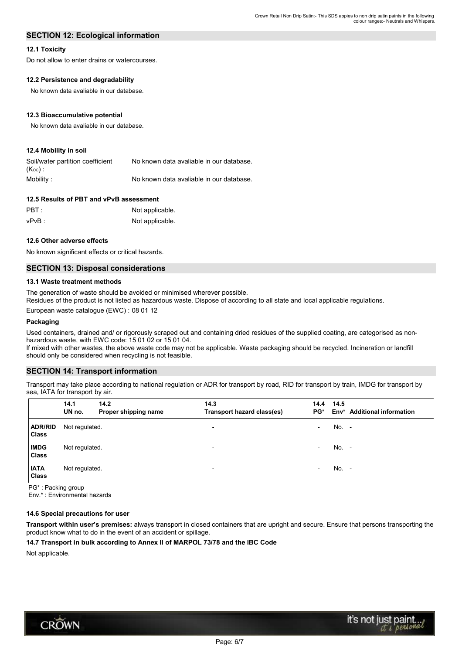# **SECTION 12: Ecological information**

### **12.1 Toxicity**

Do not allow to enter drains or watercourses.

# 12.2 Persistence and degradability

No known data avaliable in our database.

### 12.3 Bioaccumulative potential

No known data avaliable in our database.

# 12.4 Mobility in soil

| Soil/water partition coefficient | No known data avaliable in our database. |
|----------------------------------|------------------------------------------|
| ( $\mathsf{K}_{\mathsf{oc}}$ ).  |                                          |
| Mobility:                        | No known data avaliable in our database. |

# 12.5 Results of PBT and vPvB assessment

| $\mathsf{PBT}$ : | Not applicable. |
|------------------|-----------------|
| vPvB :           | Not applicable. |

### 12.6 Other adverse effects

No known significant effects or critical hazards.

# **SECTION 13: Disposal considerations**

### 13.1 Waste treatment methods

The generation of waste should be avoided or minimised wherever possible.

Residues of the product is not listed as hazardous waste. Dispose of according to all state and local applicable regulations.

European waste catalogue (EWC): 08 01 12

### Packaging

Used containers, drained and/ or rigorously scraped out and containing dried residues of the supplied coating, are categorised as nonhazardous waste, with EWC code: 15 01 02 or 15 01 04.

If mixed with other wastes, the above waste code may not be applicable. Waste packaging should be recycled. Incineration or landfill should only be considered when recycling is not feasible.

# **SECTION 14: Transport information**

Transport may take place according to national regulation or ADR for transport by road, RID for transport by train, IMDG for transport by sea, IATA for transport by air.

|                                | 14.1<br>UN no. | 14.2<br>Proper shipping name | 14.3<br>Transport hazard class(es) | 14.4<br>$PG^*$           | 14.5  | Env* Additional information |
|--------------------------------|----------------|------------------------------|------------------------------------|--------------------------|-------|-----------------------------|
| <b>ADR/RID</b><br><b>Class</b> | Not regulated. |                              | ۰                                  | $\overline{\phantom{a}}$ | No. - |                             |
| <b>IMDG</b><br><b>Class</b>    | Not regulated. |                              | $\overline{\phantom{0}}$           | $\overline{\phantom{a}}$ | No. - |                             |
| <b>IATA</b><br><b>Class</b>    | Not regulated. |                              | $\overline{\phantom{0}}$           | $\overline{\phantom{a}}$ | No. - |                             |

PG\*: Packing group

Env.\*: Environmental hazards

### 14.6 Special precautions for user

Transport within user's premises: always transport in closed containers that are upright and secure. Ensure that persons transporting the product know what to do in the event of an accident or spillage.

### 14.7 Transport in bulk according to Annex II of MARPOL 73/78 and the IBC Code

Not applicable.